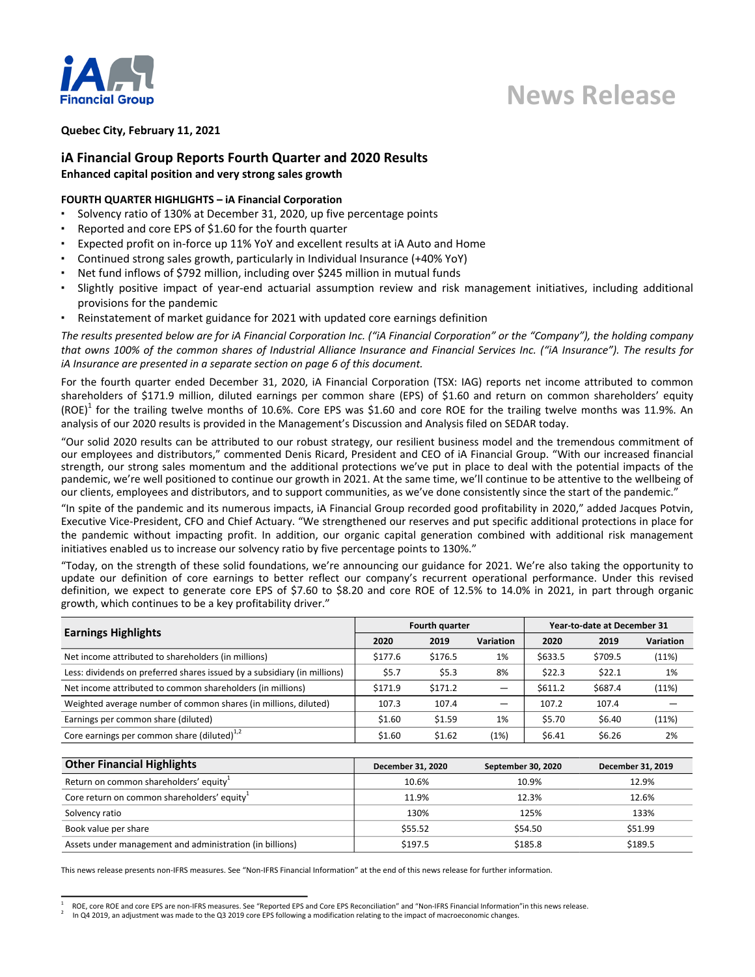

# **News Release**

### **Quebec City, February 11, 2021**

### **iA Financial Group Reports Fourth Quarter and 2020 Results**

**Enhanced capital position and very strong sales growth**

### **FOURTH QUARTER HIGHLIGHTS - iA Financial Corporation**

- Solvency ratio of 130% at December 31, 2020, up five percentage points
- Reported and core EPS of \$1.60 for the fourth quarter
- **Expected profit on in-force up 11% YoY and excellent results at iA Auto and Home**
- Continued strong sales growth, particularly in Individual Insurance (+40% YoY)
- Net fund inflows of \$792 million, including over \$245 million in mutual funds
- Slightly positive impact of year-end actuarial assumption review and risk management initiatives, including additional provisions for the pandemic
- Reinstatement of market guidance for 2021 with updated core earnings definition

The results presented below are for iA Financial Corporation Inc. ("iA Financial Corporation" or the "Company"), the holding company that owns 100% of the common shares of Industrial Alliance Insurance and Financial Services Inc. ("iA Insurance"). The results for *iA* Insurance are presented in a separate section on page 6 of this document.

For the fourth quarter ended December 31, 2020, iA Financial Corporation (TSX: IAG) reports net income attributed to common shareholders of \$171.9 million, diluted earnings per common share (EPS) of \$1.60 and return on common shareholders' equity (ROE)<sup>1</sup> for the trailing twelve months of 10.6%. Core EPS was \$1.60 and core ROE for the trailing twelve months was 11.9%. An analysis of our 2020 results is provided in the Management's Discussion and Analysis filed on SEDAR today.

"Our solid 2020 results can be attributed to our robust strategy, our resilient business model and the tremendous commitment of our employees and distributors," commented Denis Ricard, President and CEO of iA Financial Group. "With our increased financial strength, our strong sales momentum and the additional protections we've put in place to deal with the potential impacts of the pandemic, we're well positioned to continue our growth in 2021. At the same time, we'll continue to be attentive to the wellbeing of our clients, employees and distributors, and to support communities, as we've done consistently since the start of the pandemic."

"In spite of the pandemic and its numerous impacts, iA Financial Group recorded good profitability in 2020," added Jacques Potvin, Executive Vice-President, CFO and Chief Actuary. "We strengthened our reserves and put specific additional protections in place for the pandemic without impacting profit. In addition, our organic capital generation combined with additional risk management initiatives enabled us to increase our solvency ratio by five percentage points to 130%."

"Today, on the strength of these solid foundations, we're announcing our guidance for 2021. We're also taking the opportunity to update our definition of core earnings to better reflect our company's recurrent operational performance. Under this revised definition, we expect to generate core EPS of \$7.60 to \$8.20 and core ROE of 12.5% to 14.0% in 2021, in part through organic growth, which continues to be a key profitability driver."

| <b>Earnings Highlights</b>                                               | Fourth quarter |         |                  | Year-to-date at December 31 |         |           |
|--------------------------------------------------------------------------|----------------|---------|------------------|-----------------------------|---------|-----------|
|                                                                          | 2020           | 2019    | <b>Variation</b> | 2020                        | 2019    | Variation |
| Net income attributed to shareholders (in millions)                      | \$177.6        | \$176.5 | 1%               | \$633.5                     | \$709.5 | (11%)     |
| Less: dividends on preferred shares issued by a subsidiary (in millions) | \$5.7          | \$5.3   | 8%               | \$22.3                      | \$22.1  | 1%        |
| Net income attributed to common shareholders (in millions)               | \$171.9        | \$171.2 |                  | \$611.2                     | \$687.4 | (11%)     |
| Weighted average number of common shares (in millions, diluted)          | 107.3          | 107.4   |                  | 107.2                       | 107.4   |           |
| Earnings per common share (diluted)                                      | \$1.60         | \$1.59  | 1%               | \$5.70                      | \$6.40  | (11%)     |
| Core earnings per common share (diluted) $^{1,2}$                        | \$1.60         | \$1.62  | (1%)             | \$6.41                      | \$6.26  | 2%        |

| <b>Other Financial Highlights</b>                        | December 31, 2020 | September 30, 2020 | December 31, 2019 |
|----------------------------------------------------------|-------------------|--------------------|-------------------|
| Return on common shareholders' equity <sup>1</sup>       | 10.6%             | 10.9%              | 12.9%             |
| Core return on common shareholders' equity <sup>1</sup>  | 11.9%             | 12.3%              | 12.6%             |
| Solvency ratio                                           | 130%              | 125%               | 133%              |
| Book value per share                                     | \$55.52           | \$54.50            | \$51.99           |
| Assets under management and administration (in billions) | \$197.5           | \$185.8            | \$189.5           |

This news release presents non-IFRS measures. See "Non-IFRS Financial Information" at the end of this news release for further information.

<sup>1</sup> ROE, core ROE and core EPS are non-IFRS measures. See "Reported EPS and Core EPS Reconciliation" and "Non-IFRS Financial Information"in this news release.

<sup>2</sup> In Q4 2019, an adjustment was made to the Q3 2019 core EPS following a modification relating to the impact of macroeconomic changes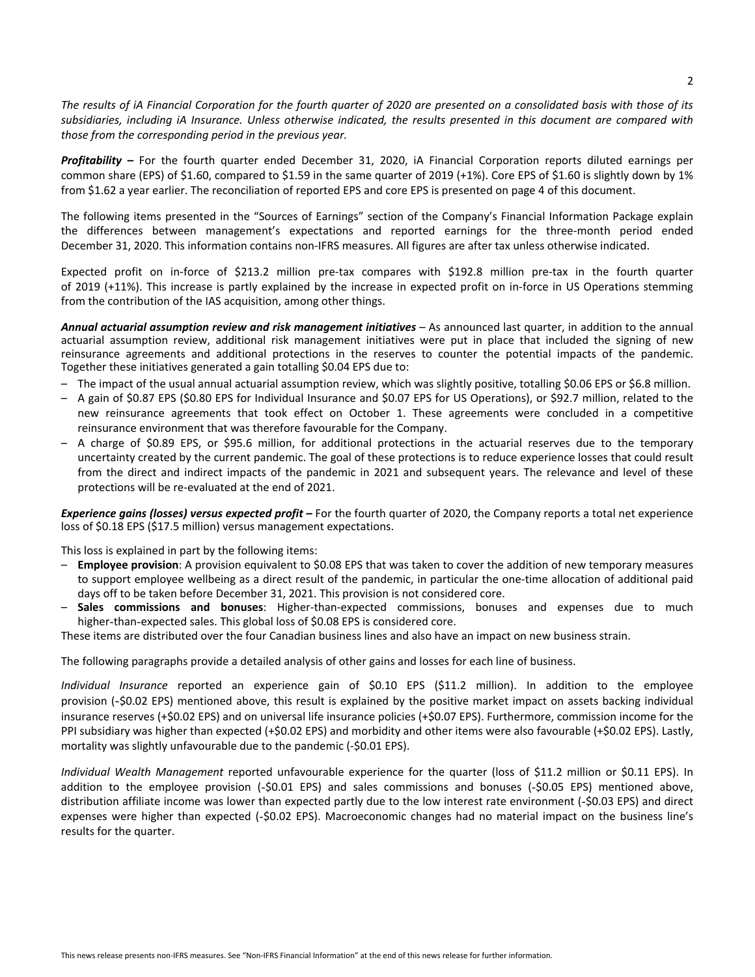The results of iA Financial Corporation for the fourth quarter of 2020 are presented on a consolidated basis with those of its subsidiaries, including iA Insurance. Unless otherwise indicated, the results presented in this document are compared with those from the corresponding period in the previous year.

**Profitability** - For the fourth quarter ended December 31, 2020, iA Financial Corporation reports diluted earnings per common share (EPS) of \$1.60, compared to \$1.59 in the same quarter of 2019 (+1%). Core EPS of \$1.60 is slightly down by 1% from \$1.62 a year earlier. The reconciliation of reported EPS and core EPS is presented on page 4 of this document.

The following items presented in the "Sources of Earnings" section of the Company's Financial Information Package explain the differences between management's expectations and reported earnings for the three-month period ended December 31, 2020. This information contains non-IFRS measures. All figures are after tax unless otherwise indicated.

Expected profit on in-force of \$213.2 million pre-tax compares with \$192.8 million pre-tax in the fourth quarter of 2019 (+11%). This increase is partly explained by the increase in expected profit on in-force in US Operations stemming from the contribution of the IAS acquisition, among other things.

Annual actuarial assumption review and risk management initiatives – As announced last quarter, in addition to the annual actuarial assumption review, additional risk management initiatives were put in place that included the signing of new reinsurance agreements and additional protections in the reserves to counter the potential impacts of the pandemic. Together these initiatives generated a gain totalling \$0.04 EPS due to:

- The impact of the usual annual actuarial assumption review, which was slightly positive, totalling \$0.06 EPS or \$6.8 million.
- A gain of \$0.87 EPS (\$0.80 EPS for Individual Insurance and \$0.07 EPS for US Operations), or \$92.7 million, related to the new reinsurance agreements that took effect on October 1. These agreements were concluded in a competitive reinsurance environment that was therefore favourable for the Company.
- A charge of \$0.89 EPS, or \$95.6 million, for additional protections in the actuarial reserves due to the temporary uncertainty created by the current pandemic. The goal of these protections is to reduce experience losses that could result from the direct and indirect impacts of the pandemic in 2021 and subsequent years. The relevance and level of these protections will be re-evaluated at the end of 2021.

*Experience gains (losses) versus expected profit* **–** For the fourth quarter of 2020, the Company reports a total net experience loss of \$0.18 EPS (\$17.5 million) versus management expectations.

This loss is explained in part by the following items:

- Employee provision: A provision equivalent to \$0.08 EPS that was taken to cover the addition of new temporary measures to support employee wellbeing as a direct result of the pandemic, in particular the one-time allocation of additional paid days off to be taken before December 31, 2021. This provision is not considered core.
- Sales commissions and bonuses: Higher-than-expected commissions, bonuses and expenses due to much higher-than-expected sales. This global loss of \$0.08 EPS is considered core.

These items are distributed over the four Canadian business lines and also have an impact on new business strain.

The following paragraphs provide a detailed analysis of other gains and losses for each line of business.

*Individual Insurance* reported an experience gain of \$0.10 EPS (\$11.2 million). In addition to the employee provision (-\$0.02 EPS) mentioned above, this result is explained by the positive market impact on assets backing individual insurance reserves  $(+\xi 0.02$  EPS) and on universal life insurance policies  $(+\xi 0.07$  EPS). Furthermore, commission income for the PPI subsidiary was higher than expected (+\$0.02 EPS) and morbidity and other items were also favourable (+\$0.02 EPS). Lastly, mortality was slightly unfavourable due to the pandemic (-\$0.01 EPS).

*Individual Wealth Management* reported unfavourable experience for the quarter (loss of \$11.2 million or \$0.11 EPS). In addition to the employee provision (-\$0.01 EPS) and sales commissions and bonuses (-\$0.05 EPS) mentioned above, distribution affiliate income was lower than expected partly due to the low interest rate environment (-\$0.03 EPS) and direct expenses were higher than expected (-\$0.02 EPS). Macroeconomic changes had no material impact on the business line's results for the quarter.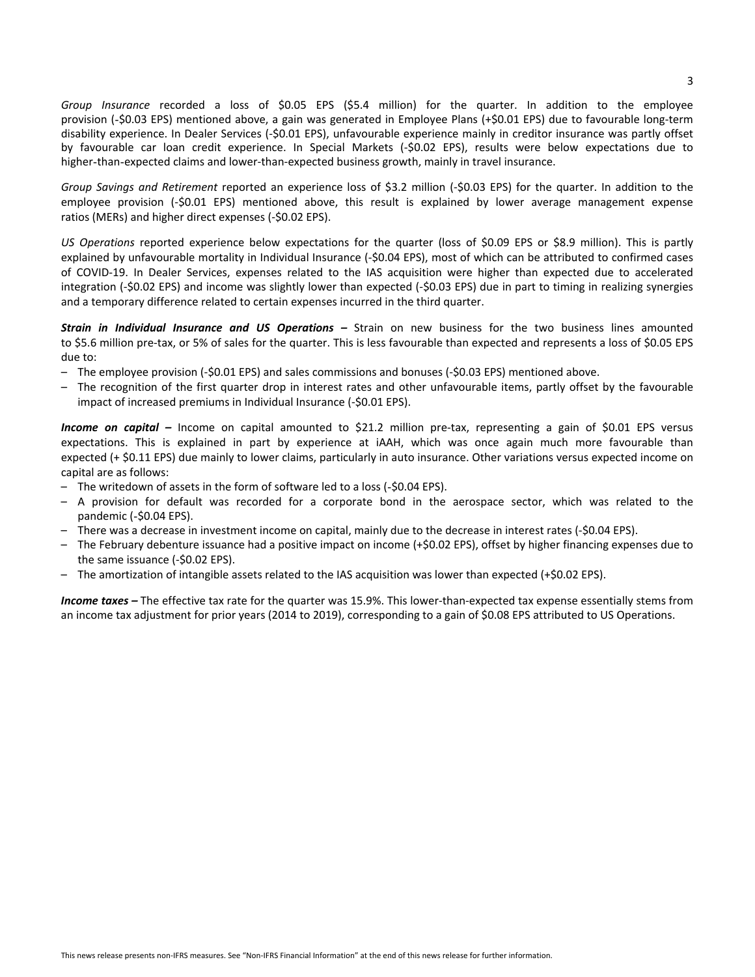*Group* Insurance recorded a loss of \$0.05 EPS (\$5.4 million) for the quarter. In addition to the employee provision (-\$0.03 EPS) mentioned above, a gain was generated in Employee Plans (+\$0.01 EPS) due to favourable long-term disability experience. In Dealer Services (-\$0.01 EPS), unfavourable experience mainly in creditor insurance was partly offset by favourable car loan credit experience. In Special Markets (-\$0.02 EPS), results were below expectations due to higher-than-expected claims and lower-than-expected business growth, mainly in travel insurance.

*Group* Savings and Retirement reported an experience loss of \$3.2 million (-\$0.03 EPS) for the quarter. In addition to the employee provision (-\$0.01 EPS) mentioned above, this result is explained by lower average management expense ratios (MERs) and higher direct expenses (-\$0.02 EPS).

US Operations reported experience below expectations for the quarter (loss of \$0.09 EPS or \$8.9 million). This is partly explained by unfavourable mortality in Individual Insurance (-\$0.04 EPS), most of which can be attributed to confirmed cases of COVID-19. In Dealer Services, expenses related to the IAS acquisition were higher than expected due to accelerated integration (-\$0.02 EPS) and income was slightly lower than expected (-\$0.03 EPS) due in part to timing in realizing synergies and a temporary difference related to certain expenses incurred in the third quarter.

**Strain in Individual Insurance and US Operations** – Strain on new business for the two business lines amounted to \$5.6 million pre-tax, or 5% of sales for the quarter. This is less favourable than expected and represents a loss of \$0.05 EPS due to:

- The employee provision (-\$0.01 EPS) and sales commissions and bonuses (-\$0.03 EPS) mentioned above.
- The recognition of the first quarter drop in interest rates and other unfavourable items, partly offset by the favourable impact of increased premiums in Individual Insurance (-\$0.01 EPS).

**Income on capital** – Income on capital amounted to \$21.2 million pre-tax, representing a gain of \$0.01 EPS versus expectations. This is explained in part by experience at iAAH, which was once again much more favourable than expected (+ \$0.11 EPS) due mainly to lower claims, particularly in auto insurance. Other variations versus expected income on capital are as follows:

- The writedown of assets in the form of software led to a loss (-\$0.04 EPS).
- A provision for default was recorded for a corporate bond in the aerospace sector, which was related to the pandemic (-\$0.04 EPS).
- There was a decrease in investment income on capital, mainly due to the decrease in interest rates (-\$0.04 EPS).
- The February debenture issuance had a positive impact on income  $(+$0.02$  EPS), offset by higher financing expenses due to the same issuance (-\$0.02 EPS).
- The amortization of intangible assets related to the IAS acquisition was lower than expected (+\$0.02 EPS).

**Income taxes** – The effective tax rate for the quarter was 15.9%. This lower-than-expected tax expense essentially stems from an income tax adjustment for prior years (2014 to 2019), corresponding to a gain of \$0.08 EPS attributed to US Operations.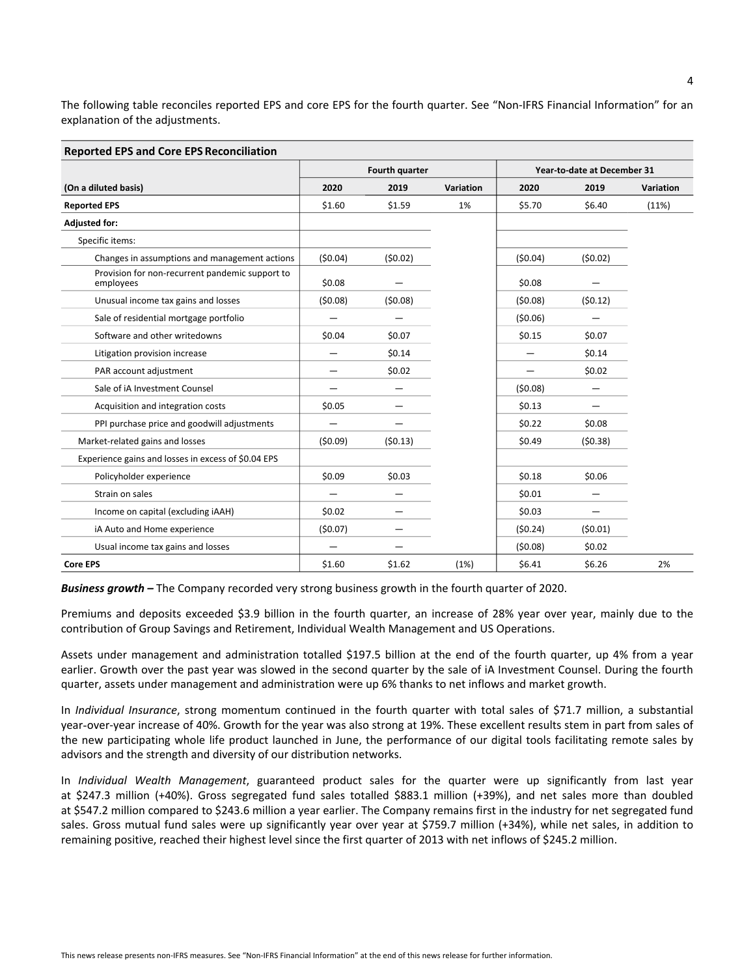The following table reconciles reported EPS and core EPS for the fourth quarter. See "Non-IFRS Financial Information" for an explanation of the adjustments.

| <b>Reported EPS and Core EPS Reconciliation</b>              |         |                       |           |                             |         |           |  |
|--------------------------------------------------------------|---------|-----------------------|-----------|-----------------------------|---------|-----------|--|
|                                                              |         | <b>Fourth quarter</b> |           | Year-to-date at December 31 |         |           |  |
| (On a diluted basis)                                         | 2020    | 2019                  | Variation | 2020                        | 2019    | Variation |  |
| <b>Reported EPS</b>                                          | \$1.60  | \$1.59                | 1%        | \$5.70                      | \$6.40  | (11%)     |  |
| <b>Adjusted for:</b>                                         |         |                       |           |                             |         |           |  |
| Specific items:                                              |         |                       |           |                             |         |           |  |
| Changes in assumptions and management actions                | (50.04) | (50.02)               |           | (50.04)                     | (50.02) |           |  |
| Provision for non-recurrent pandemic support to<br>employees | \$0.08  |                       |           | \$0.08                      |         |           |  |
| Unusual income tax gains and losses                          | (50.08) | (50.08)               |           | (50.08)                     | (50.12) |           |  |
| Sale of residential mortgage portfolio                       |         |                       |           | (50.06)                     |         |           |  |
| Software and other writedowns                                | \$0.04  | \$0.07                |           | \$0.15                      | \$0.07  |           |  |
| Litigation provision increase                                |         | \$0.14                |           |                             | \$0.14  |           |  |
| PAR account adjustment                                       |         | \$0.02                |           |                             | \$0.02  |           |  |
| Sale of iA Investment Counsel                                |         |                       |           | (50.08)                     |         |           |  |
| Acquisition and integration costs                            | \$0.05  |                       |           | \$0.13                      |         |           |  |
| PPI purchase price and goodwill adjustments                  |         |                       |           | \$0.22                      | \$0.08  |           |  |
| Market-related gains and losses                              | (50.09) | (50.13)               |           | \$0.49                      | (50.38) |           |  |
| Experience gains and losses in excess of \$0.04 EPS          |         |                       |           |                             |         |           |  |
| Policyholder experience                                      | \$0.09  | \$0.03                |           | \$0.18                      | \$0.06  |           |  |
| Strain on sales                                              |         |                       |           | \$0.01                      |         |           |  |
| Income on capital (excluding iAAH)                           | \$0.02  |                       |           | \$0.03                      |         |           |  |
| iA Auto and Home experience                                  | (50.07) |                       |           | (50.24)                     | (50.01) |           |  |
| Usual income tax gains and losses                            |         |                       |           | (50.08)                     | \$0.02  |           |  |
| <b>Core EPS</b>                                              | \$1.60  | \$1.62                | (1%)      | \$6.41                      | \$6.26  | 2%        |  |

*Business growth* – The Company recorded very strong business growth in the fourth quarter of 2020.

Premiums and deposits exceeded \$3.9 billion in the fourth quarter, an increase of 28% year over year, mainly due to the contribution of Group Savings and Retirement, Individual Wealth Management and US Operations.

Assets under management and administration totalled \$197.5 billion at the end of the fourth quarter, up 4% from a year earlier. Growth over the past year was slowed in the second quarter by the sale of iA Investment Counsel. During the fourth quarter, assets under management and administration were up 6% thanks to net inflows and market growth.

In *Individual Insurance*, strong momentum continued in the fourth quarter with total sales of \$71.7 million, a substantial year-over-year increase of 40%. Growth for the year was also strong at 19%. These excellent results stem in part from sales of the new participating whole life product launched in June, the performance of our digital tools facilitating remote sales by advisors and the strength and diversity of our distribution networks.

In *Individual Wealth Management*, guaranteed product sales for the quarter were up significantly from last year at \$247.3 million (+40%). Gross segregated fund sales totalled \$883.1 million (+39%), and net sales more than doubled at \$547.2 million compared to \$243.6 million a year earlier. The Company remains first in the industry for net segregated fund sales. Gross mutual fund sales were up significantly year over year at \$759.7 million (+34%), while net sales, in addition to remaining positive, reached their highest level since the first quarter of 2013 with net inflows of \$245.2 million.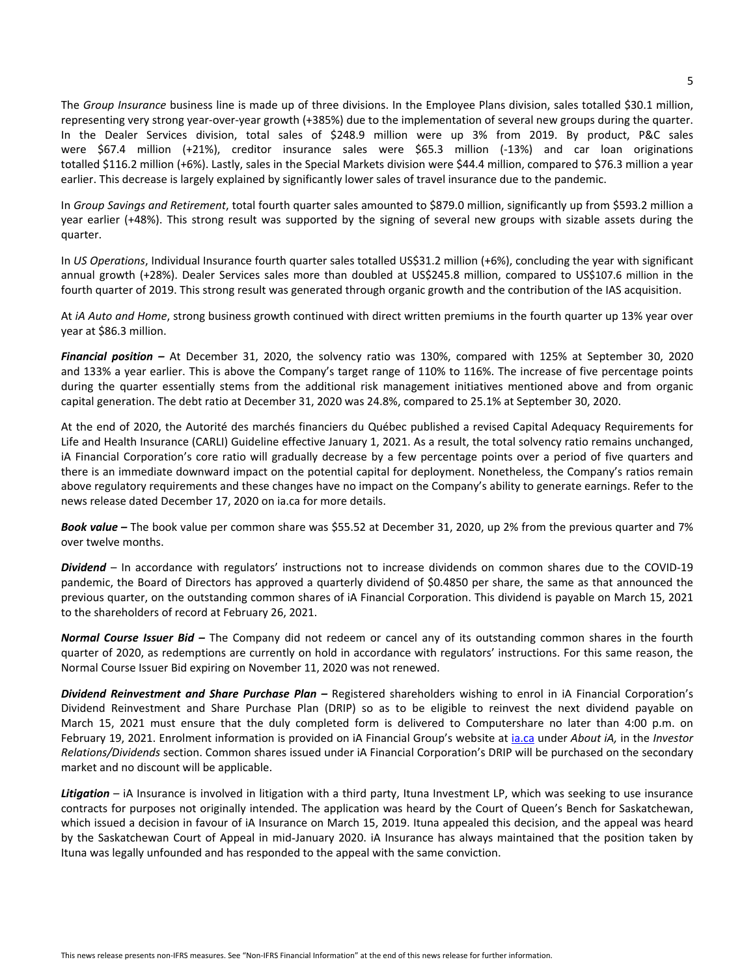The Group Insurance business line is made up of three divisions. In the Employee Plans division, sales totalled \$30.1 million, representing very strong year-over-year growth (+385%) due to the implementation of several new groups during the quarter. In the Dealer Services division, total sales of \$248.9 million were up 3% from 2019. By product, P&C sales were \$67.4 million (+21%), creditor insurance sales were \$65.3 million (-13%) and car loan originations totalled \$116.2 million (+6%). Lastly, sales in the Special Markets division were \$44.4 million, compared to \$76.3 million a year earlier. This decrease is largely explained by significantly lower sales of travel insurance due to the pandemic.

In *Group Savings and Retirement*, total fourth quarter sales amounted to \$879.0 million, significantly up from \$593.2 million a year earlier (+48%). This strong result was supported by the signing of several new groups with sizable assets during the quarter.

In *US Operations*, Individual Insurance fourth quarter sales totalled US\$31.2 million (+6%), concluding the year with significant annual growth (+28%). Dealer Services sales more than doubled at US\$245.8 million, compared to US\$107.6 million in the fourth quarter of 2019. This strong result was generated through organic growth and the contribution of the IAS acquisition.

At *iA Auto and Home*, strong business growth continued with direct written premiums in the fourth quarter up 13% year over year at \$86.3 million.

**Financial position** – At December 31, 2020, the solvency ratio was 130%, compared with 125% at September 30, 2020 and 133% a year earlier. This is above the Company's target range of 110% to 116%. The increase of five percentage points during the quarter essentially stems from the additional risk management initiatives mentioned above and from organic capital generation. The debt ratio at December 31, 2020 was 24.8%, compared to 25.1% at September 30, 2020.

At the end of 2020, the Autorité des marchés financiers du Québec published a revised Capital Adequacy Requirements for Life and Health Insurance (CARLI) Guideline effective January 1, 2021. As a result, the total solvency ratio remains unchanged, iA Financial Corporation's core ratio will gradually decrease by a few percentage points over a period of five quarters and there is an immediate downward impact on the potential capital for deployment. Nonetheless, the Company's ratios remain above regulatory requirements and these changes have no impact on the Company's ability to generate earnings. Refer to the news release dated December 17, 2020 on ia.ca for more details.

**Book value** – The book value per common share was \$55.52 at December 31, 2020, up 2% from the previous quarter and 7% over twelve months.

Dividend – In accordance with regulators' instructions not to increase dividends on common shares due to the COVID-19 pandemic, the Board of Directors has approved a quarterly dividend of \$0.4850 per share, the same as that announced the previous quarter, on the outstanding common shares of iA Financial Corporation. This dividend is payable on March 15, 2021 to the shareholders of record at February 26, 2021.

*Normal Course Issuer Bid –* The Company did not redeem or cancel any of its outstanding common shares in the fourth quarter of 2020, as redemptions are currently on hold in accordance with regulators' instructions. For this same reason, the Normal Course Issuer Bid expiring on November 11, 2020 was not renewed.

**Dividend Reinvestment and Share Purchase Plan** – Registered shareholders wishing to enrol in iA Financial Corporation's Dividend Reinvestment and Share Purchase Plan (DRIP) so as to be eligible to reinvest the next dividend payable on March 15, 2021 must ensure that the duly completed form is delivered to Computershare no later than 4:00 p.m. on February 19, 2021. Enrolment information is provided on iA Financial Group's website at *ia.ca* under *About iA*, in the *Investor Relations/Dividends* section. Common shares issued under iA Financial Corporation's DRIP will be purchased on the secondary market and no discount will be applicable.

Litigation – iA Insurance is involved in litigation with a third party, Ituna Investment LP, which was seeking to use insurance contracts for purposes not originally intended. The application was heard by the Court of Queen's Bench for Saskatchewan, which issued a decision in favour of iA Insurance on March 15, 2019. Ituna appealed this decision, and the appeal was heard by the Saskatchewan Court of Appeal in mid-January 2020. iA Insurance has always maintained that the position taken by Ituna was legally unfounded and has responded to the appeal with the same conviction.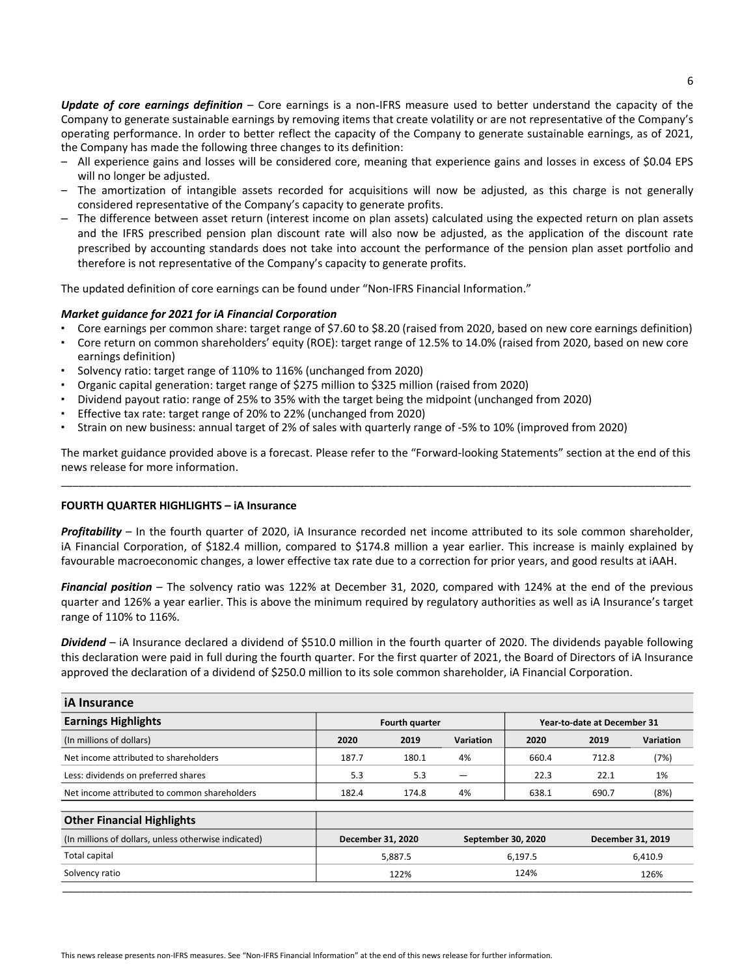**Update** of core earnings definition – Core earnings is a non-IFRS measure used to better understand the capacity of the Company to generate sustainable earnings by removing items that create volatility or are not representative of the Company's operating performance. In order to better reflect the capacity of the Company to generate sustainable earnings, as of 2021, the Company has made the following three changes to its definition:

- All experience gains and losses will be considered core, meaning that experience gains and losses in excess of \$0.04 EPS will no longer be adjusted.
- The amortization of intangible assets recorded for acquisitions will now be adjusted, as this charge is not generally considered representative of the Company's capacity to generate profits.
- The difference between asset return (interest income on plan assets) calculated using the expected return on plan assets and the IFRS prescribed pension plan discount rate will also now be adjusted, as the application of the discount rate prescribed by accounting standards does not take into account the performance of the pension plan asset portfolio and therefore is not representative of the Company's capacity to generate profits.

The updated definition of core earnings can be found under "Non-IFRS Financial Information."

#### *Market quidance for 2021 for iA Financial Corporation*

- Core earnings per common share: target range of \$7.60 to \$8.20 (raised from 2020, based on new core earnings definition)
- Core return on common shareholders' equity (ROE): target range of 12.5% to 14.0% (raised from 2020, based on new core earnings definition)
- Solvency ratio: target range of 110% to 116% (unchanged from 2020)
- Organic capital generation: target range of \$275 million to \$325 million (raised from 2020)
- Dividend payout ratio: range of 25% to 35% with the target being the midpoint (unchanged from 2020)
- Effective tax rate: target range of 20% to 22% (unchanged from 2020)
- Strain on new business: annual target of 2% of sales with quarterly range of -5% to 10% (improved from 2020)

The market guidance provided above is a forecast. Please refer to the "Forward-looking Statements" section at the end of this news release for more information. \_\_\_\_\_\_\_\_\_\_\_\_\_\_\_\_\_\_\_\_\_\_\_\_\_\_\_\_\_\_\_\_\_\_\_\_\_\_\_\_\_\_\_\_\_\_\_\_\_\_\_\_\_\_\_\_\_\_\_\_\_\_\_\_\_\_\_\_\_\_\_\_\_\_\_\_\_\_\_\_\_\_\_\_\_\_\_\_\_\_\_\_\_\_\_\_\_\_\_\_\_\_\_\_\_\_\_\_

#### **FOURTH QUARTER HIGHLIGHTS - iA Insurance**

**Profitability** – In the fourth quarter of 2020, iA Insurance recorded net income attributed to its sole common shareholder, iA Financial Corporation, of \$182.4 million, compared to \$174.8 million a year earlier. This increase is mainly explained by favourable macroeconomic changes, a lower effective tax rate due to a correction for prior years, and good results at iAAH.

Financial position – The solvency ratio was 122% at December 31, 2020, compared with 124% at the end of the previous quarter and 126% a year earlier. This is above the minimum required by regulatory authorities as well as iA Insurance's target range of 110% to 116%.

Dividend – iA Insurance declared a dividend of \$510.0 million in the fourth quarter of 2020. The dividends payable following this declaration were paid in full during the fourth quarter. For the first quarter of 2021, the Board of Directors of iA Insurance approved the declaration of a dividend of \$250.0 million to its sole common shareholder, iA Financial Corporation.

| <b>iA</b> Insurance                                  |                                                      |       |           |                    |       |                   |
|------------------------------------------------------|------------------------------------------------------|-------|-----------|--------------------|-------|-------------------|
| <b>Earnings Highlights</b>                           | <b>Fourth quarter</b><br>Year-to-date at December 31 |       |           |                    |       |                   |
| (In millions of dollars)                             | 2020                                                 | 2019  | Variation | 2020               | 2019  | Variation         |
| Net income attributed to shareholders                | 187.7                                                | 180.1 | 4%        | 660.4              | 712.8 | (7%)              |
| Less: dividends on preferred shares                  | 5.3                                                  | 5.3   |           | 22.3               | 22.1  | 1%                |
| Net income attributed to common shareholders         | 182.4                                                | 174.8 | 4%        | 638.1              | 690.7 | (8%)              |
| <b>Other Financial Highlights</b>                    |                                                      |       |           |                    |       |                   |
| (In millions of dollars, unless otherwise indicated) | December 31, 2020                                    |       |           | September 30, 2020 |       | December 31, 2019 |
| Total capital                                        | 5,887.5                                              |       |           | 6,197.5            |       | 6,410.9           |
| Solvency ratio                                       | 122%                                                 |       | 124%      |                    | 126%  |                   |
|                                                      |                                                      |       |           |                    |       |                   |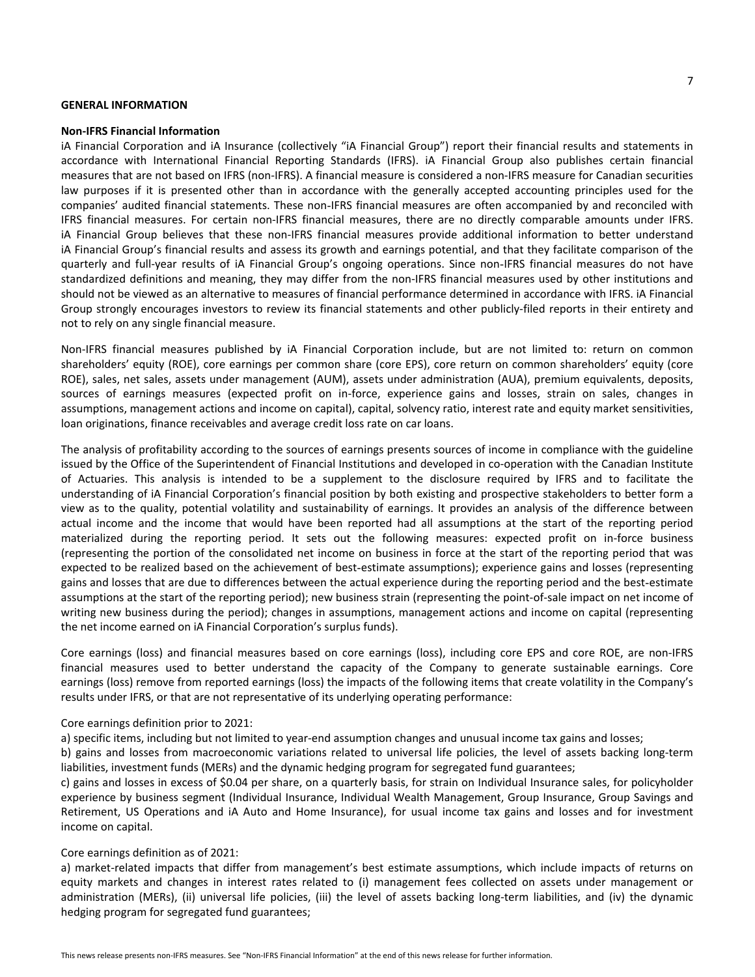#### **GENERAL INFORMATION**

#### **Non-IFRS Financial Information**

iA Financial Corporation and iA Insurance (collectively "iA Financial Group") report their financial results and statements in accordance with International Financial Reporting Standards (IFRS). iA Financial Group also publishes certain financial measures that are not based on IFRS (non-IFRS). A financial measure is considered a non-IFRS measure for Canadian securities law purposes if it is presented other than in accordance with the generally accepted accounting principles used for the companies' audited financial statements. These non-IFRS financial measures are often accompanied by and reconciled with IFRS financial measures. For certain non-IFRS financial measures, there are no directly comparable amounts under IFRS. iA Financial Group believes that these non-IFRS financial measures provide additional information to better understand iA Financial Group's financial results and assess its growth and earnings potential, and that they facilitate comparison of the quarterly and full-year results of iA Financial Group's ongoing operations. Since non-IFRS financial measures do not have standardized definitions and meaning, they may differ from the non-IFRS financial measures used by other institutions and should not be viewed as an alternative to measures of financial performance determined in accordance with IFRS. iA Financial Group strongly encourages investors to review its financial statements and other publicly-filed reports in their entirety and not to rely on any single financial measure.

Non-IFRS financial measures published by iA Financial Corporation include, but are not limited to: return on common shareholders' equity (ROE), core earnings per common share (core EPS), core return on common shareholders' equity (core ROE), sales, net sales, assets under management (AUM), assets under administration (AUA), premium equivalents, deposits, sources of earnings measures (expected profit on in-force, experience gains and losses, strain on sales, changes in assumptions, management actions and income on capital), capital, solvency ratio, interest rate and equity market sensitivities, loan originations, finance receivables and average credit loss rate on car loans.

The analysis of profitability according to the sources of earnings presents sources of income in compliance with the guideline issued by the Office of the Superintendent of Financial Institutions and developed in co-operation with the Canadian Institute of Actuaries. This analysis is intended to be a supplement to the disclosure required by IFRS and to facilitate the understanding of iA Financial Corporation's financial position by both existing and prospective stakeholders to better form a view as to the quality, potential volatility and sustainability of earnings. It provides an analysis of the difference between actual income and the income that would have been reported had all assumptions at the start of the reporting period materialized during the reporting period. It sets out the following measures: expected profit on in-force business (representing the portion of the consolidated net income on business in force at the start of the reporting period that was expected to be realized based on the achievement of best-estimate assumptions); experience gains and losses (representing gains and losses that are due to differences between the actual experience during the reporting period and the best-estimate assumptions at the start of the reporting period); new business strain (representing the point-of-sale impact on net income of writing new business during the period); changes in assumptions, management actions and income on capital (representing the net income earned on iA Financial Corporation's surplus funds).

Core earnings (loss) and financial measures based on core earnings (loss), including core EPS and core ROE, are non-IFRS financial measures used to better understand the capacity of the Company to generate sustainable earnings. Core earnings (loss) remove from reported earnings (loss) the impacts of the following items that create volatility in the Company's results under IFRS, or that are not representative of its underlying operating performance:

#### Core earnings definition prior to 2021:

a) specific items, including but not limited to year-end assumption changes and unusual income tax gains and losses;

b) gains and losses from macroeconomic variations related to universal life policies, the level of assets backing long-term liabilities, investment funds (MERs) and the dynamic hedging program for segregated fund guarantees;

c) gains and losses in excess of \$0.04 per share, on a quarterly basis, for strain on Individual Insurance sales, for policyholder experience by business segment (Individual Insurance, Individual Wealth Management, Group Insurance, Group Savings and Retirement, US Operations and iA Auto and Home Insurance), for usual income tax gains and losses and for investment income on capital.

#### Core earnings definition as of 2021:

a) market-related impacts that differ from management's best estimate assumptions, which include impacts of returns on equity markets and changes in interest rates related to (i) management fees collected on assets under management or administration (MERs), (ii) universal life policies, (iii) the level of assets backing long-term liabilities, and (iv) the dynamic hedging program for segregated fund guarantees;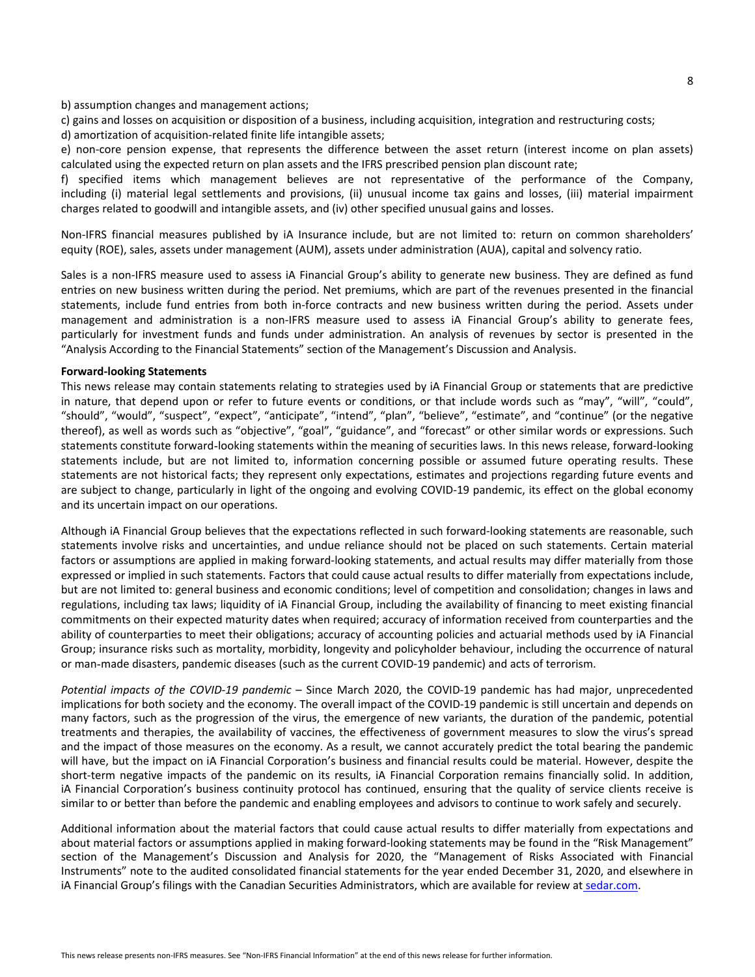#### b) assumption changes and management actions;

c) gains and losses on acquisition or disposition of a business, including acquisition, integration and restructuring costs;

d) amortization of acquisition-related finite life intangible assets;

e) non-core pension expense, that represents the difference between the asset return (interest income on plan assets) calculated using the expected return on plan assets and the IFRS prescribed pension plan discount rate;

f) specified items which management believes are not representative of the performance of the Company, including (i) material legal settlements and provisions, (ii) unusual income tax gains and losses, (iii) material impairment charges related to goodwill and intangible assets, and (iv) other specified unusual gains and losses.

Non-IFRS financial measures published by iA Insurance include, but are not limited to: return on common shareholders' equity (ROE), sales, assets under management (AUM), assets under administration (AUA), capital and solvency ratio.

Sales is a non-IFRS measure used to assess iA Financial Group's ability to generate new business. They are defined as fund entries on new business written during the period. Net premiums, which are part of the revenues presented in the financial statements, include fund entries from both in-force contracts and new business written during the period. Assets under management and administration is a non-IFRS measure used to assess iA Financial Group's ability to generate fees, particularly for investment funds and funds under administration. An analysis of revenues by sector is presented in the "Analysis According to the Financial Statements" section of the Management's Discussion and Analysis.

#### **Forward-looking Statements**

This news release may contain statements relating to strategies used by iA Financial Group or statements that are predictive in nature, that depend upon or refer to future events or conditions, or that include words such as "may", "will", "could", "should", "would", "suspect", "expect", "anticipate", "intend", "plan", "believe", "estimate", and "continue" (or the negative thereof), as well as words such as "objective", "goal", "guidance", and "forecast" or other similar words or expressions. Such statements constitute forward-looking statements within the meaning of securities laws. In this news release, forward-looking statements include, but are not limited to, information concerning possible or assumed future operating results. These statements are not historical facts; they represent only expectations, estimates and projections regarding future events and are subject to change, particularly in light of the ongoing and evolving COVID-19 pandemic, its effect on the global economy and its uncertain impact on our operations.

Although iA Financial Group believes that the expectations reflected in such forward-looking statements are reasonable, such statements involve risks and uncertainties, and undue reliance should not be placed on such statements. Certain material factors or assumptions are applied in making forward-looking statements, and actual results may differ materially from those expressed or implied in such statements. Factors that could cause actual results to differ materially from expectations include, but are not limited to: general business and economic conditions; level of competition and consolidation; changes in laws and regulations, including tax laws; liquidity of iA Financial Group, including the availability of financing to meet existing financial commitments on their expected maturity dates when required; accuracy of information received from counterparties and the ability of counterparties to meet their obligations; accuracy of accounting policies and actuarial methods used by iA Financial Group; insurance risks such as mortality, morbidity, longevity and policyholder behaviour, including the occurrence of natural or man-made disasters, pandemic diseases (such as the current COVID-19 pandemic) and acts of terrorism.

*Potential impacts of the COVID-19 pandemic* – Since March 2020, the COVID-19 pandemic has had major, unprecedented implications for both society and the economy. The overall impact of the COVID-19 pandemic is still uncertain and depends on many factors, such as the progression of the virus, the emergence of new variants, the duration of the pandemic, potential treatments and therapies, the availability of vaccines, the effectiveness of government measures to slow the virus's spread and the impact of those measures on the economy. As a result, we cannot accurately predict the total bearing the pandemic will have, but the impact on iA Financial Corporation's business and financial results could be material. However, despite the short-term negative impacts of the pandemic on its results, iA Financial Corporation remains financially solid. In addition, iA Financial Corporation's business continuity protocol has continued, ensuring that the quality of service clients receive is similar to or better than before the pandemic and enabling employees and advisors to continue to work safely and securely.

Additional information about the material factors that could cause actual results to differ materially from expectations and about material factors or assumptions applied in making forward-looking statements may be found in the "Risk Management" section of the Management's Discussion and Analysis for 2020, the "Management of Risks Associated with Financial Instruments" note to the audited consolidated financial statements for the year ended December 31, 2020, and elsewhere in iA Financial Group's filings with the Canadian Securities Administrators, which are available for review at [sedar.com](www.sedar.com).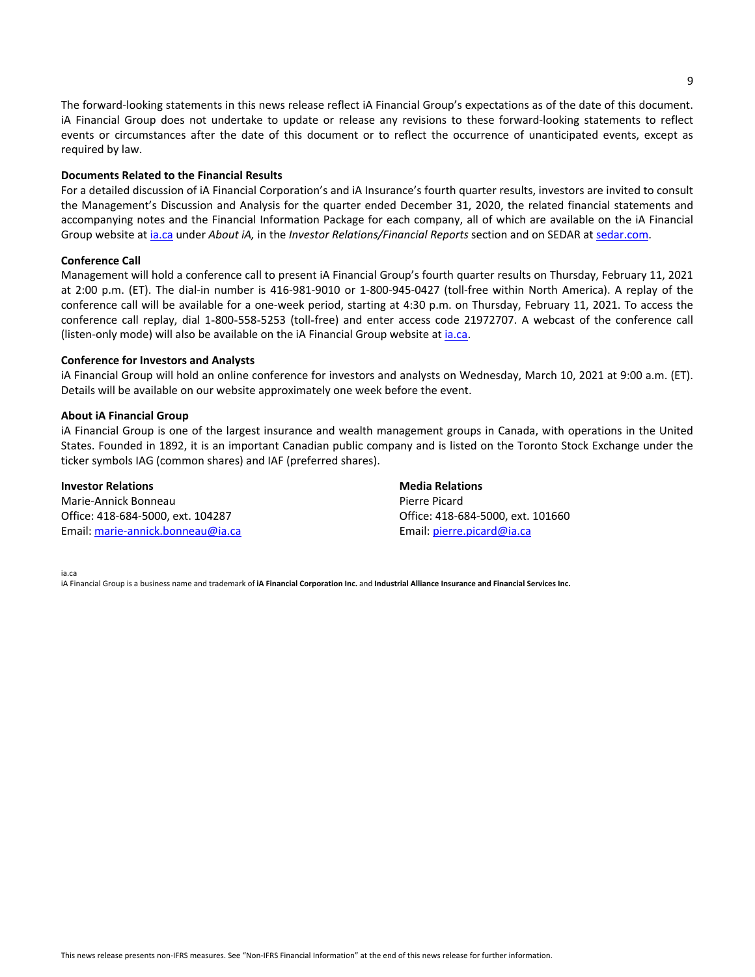The forward-looking statements in this news release reflect iA Financial Group's expectations as of the date of this document. iA Financial Group does not undertake to update or release any revisions to these forward-looking statements to reflect events or circumstances after the date of this document or to reflect the occurrence of unanticipated events, except as required by law.

#### **Documents Related to the Financial Results**

For a detailed discussion of iA Financial Corporation's and iA Insurance's fourth quarter results, investors are invited to consult the Management's Discussion and Analysis for the quarter ended December 31, 2020, the related financial statements and accompanying notes and the Financial Information Package for each company, all of which are available on the iA Financial Group website at *[ia.ca](www.ia.ca)* under *About iA*, in the *Investor Relations/Financial Reports* section and on SEDAR at [sedar.com.](www.sedar.com)

#### **Conference Call**

Management will hold a conference call to present iA Financial Group's fourth quarter results on Thursday, February 11, 2021 at 2:00 p.m. (ET). The dial-in number is 416-981-9010 or 1-800-945-0427 (toll-free within North America). A replay of the conference call will be available for a one-week period, starting at 4:30 p.m. on Thursday, February 11, 2021. To access the conference call replay, dial 1-800-558-5253 (toll-free) and enter access code 21972707. A webcast of the conference call (listen-only mode) will also be available on the  $iA$  Financial Group website at [ia.ca](www,ia.ca).

#### **Conference for Investors and Analysts**

iA Financial Group will hold an online conference for investors and analysts on Wednesday, March 10, 2021 at 9:00 a.m. (ET). Details will be available on our website approximately one week before the event.

#### **About iA Financial Group**

iA Financial Group is one of the largest insurance and wealth management groups in Canada, with operations in the United States. Founded in 1892, it is an important Canadian public company and is listed on the Toronto Stock Exchange under the ticker symbols IAG (common shares) and IAF (preferred shares).

#### **Investor Relations**

Marie-Annick Bonneau Office: 418-684-5000, ext. 104287 Email: marie-annick.bonneau@ia.ca **Media Relations** Pierre Picard Office: 418-684-5000, ext. 101660 Email: pierre.picard@ia.ca

[ia.ca](www.ia.ca) 

iA Financial Group is a business name and trademark of iA Financial Corporation Inc. and Industrial Alliance Insurance and Financial Services Inc.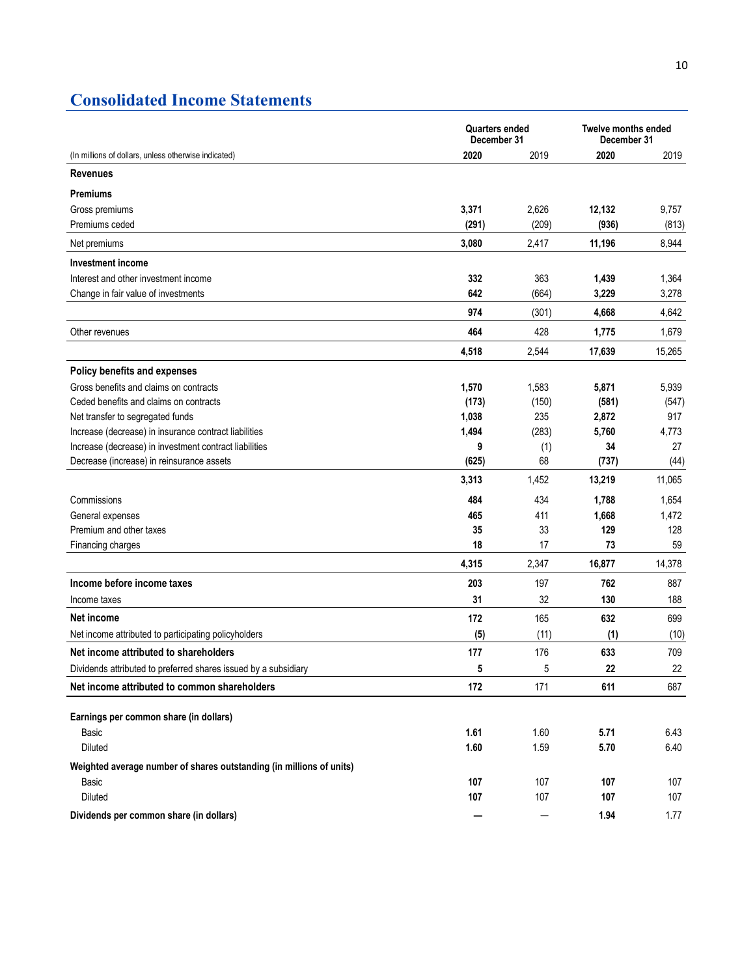## **Consolidated Income Statements**

|                                                                      | <b>Quarters ended</b><br>December 31 |       | <b>Twelve months ended</b><br>December 31 |        |  |
|----------------------------------------------------------------------|--------------------------------------|-------|-------------------------------------------|--------|--|
| (In millions of dollars, unless otherwise indicated)                 | 2020                                 | 2019  | 2020                                      | 2019   |  |
| <b>Revenues</b>                                                      |                                      |       |                                           |        |  |
| <b>Premiums</b>                                                      |                                      |       |                                           |        |  |
| Gross premiums                                                       | 3,371                                | 2,626 | 12,132                                    | 9,757  |  |
| Premiums ceded                                                       | (291)                                | (209) | (936)                                     | (813)  |  |
| Net premiums                                                         | 3,080                                | 2,417 | 11,196                                    | 8,944  |  |
| <b>Investment income</b>                                             |                                      |       |                                           |        |  |
| Interest and other investment income                                 | 332                                  | 363   | 1,439                                     | 1,364  |  |
| Change in fair value of investments                                  | 642                                  | (664) | 3,229                                     | 3,278  |  |
|                                                                      | 974                                  | (301) | 4,668                                     | 4,642  |  |
| Other revenues                                                       | 464                                  | 428   | 1,775                                     | 1,679  |  |
|                                                                      | 4,518                                | 2,544 | 17,639                                    | 15,265 |  |
| <b>Policy benefits and expenses</b>                                  |                                      |       |                                           |        |  |
| Gross benefits and claims on contracts                               | 1,570                                | 1,583 | 5,871                                     | 5,939  |  |
| Ceded benefits and claims on contracts                               | (173)                                | (150) | (581)                                     | (547)  |  |
| Net transfer to segregated funds                                     | 1,038                                | 235   | 2,872                                     | 917    |  |
| Increase (decrease) in insurance contract liabilities                | 1,494                                | (283) | 5,760                                     | 4,773  |  |
| Increase (decrease) in investment contract liabilities               | 9                                    | (1)   | 34                                        | 27     |  |
| Decrease (increase) in reinsurance assets                            | (625)                                | 68    | (737)                                     | (44)   |  |
|                                                                      | 3,313                                | 1,452 | 13,219                                    | 11,065 |  |
| Commissions                                                          | 484                                  | 434   | 1,788                                     | 1,654  |  |
| General expenses                                                     | 465                                  | 411   | 1,668                                     | 1,472  |  |
| Premium and other taxes                                              | 35                                   | 33    | 129                                       | 128    |  |
| Financing charges                                                    | 18                                   | 17    | 73                                        | 59     |  |
|                                                                      | 4,315                                | 2,347 | 16,877                                    | 14,378 |  |
| Income before income taxes                                           | 203                                  | 197   | 762                                       | 887    |  |
| Income taxes                                                         | 31                                   | 32    | 130                                       | 188    |  |
| Net income                                                           | 172                                  | 165   | 632                                       | 699    |  |
| Net income attributed to participating policyholders                 | (5)                                  | (11)  | (1)                                       | (10)   |  |
| Net income attributed to shareholders                                | 177                                  | 176   | 633                                       | 709    |  |
| Dividends attributed to preferred shares issued by a subsidiary      | 5                                    | 5     | 22                                        | 22     |  |
| Net income attributed to common shareholders                         | 172                                  | 171   | 611                                       | 687    |  |
| Earnings per common share (in dollars)                               |                                      |       |                                           |        |  |
| Basic                                                                | 1.61                                 | 1.60  | 5.71                                      | 6.43   |  |
| Diluted                                                              | 1.60                                 | 1.59  | 5.70                                      | 6.40   |  |
| Weighted average number of shares outstanding (in millions of units) |                                      |       |                                           |        |  |
| Basic                                                                | 107                                  | 107   | 107                                       | 107    |  |
| Diluted                                                              | 107                                  | 107   | 107                                       | 107    |  |
| Dividends per common share (in dollars)                              |                                      | —     | 1.94                                      | 1.77   |  |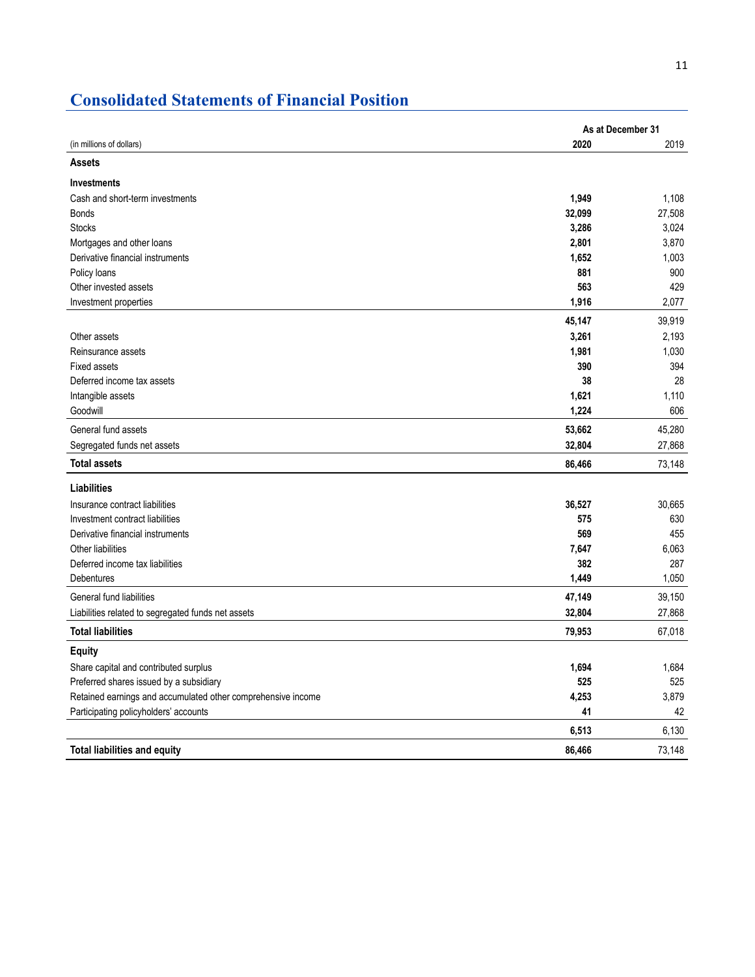## **Consolidated Statements of Financial Position**

|                                                              | As at December 31 |        |
|--------------------------------------------------------------|-------------------|--------|
| (in millions of dollars)                                     | 2020              | 2019   |
| <b>Assets</b>                                                |                   |        |
| <b>Investments</b>                                           |                   |        |
| Cash and short-term investments                              | 1,949             | 1,108  |
| <b>Bonds</b>                                                 | 32,099            | 27,508 |
| <b>Stocks</b>                                                | 3,286             | 3,024  |
| Mortgages and other loans                                    | 2,801             | 3,870  |
| Derivative financial instruments                             | 1,652             | 1,003  |
| Policy loans                                                 | 881               | 900    |
| Other invested assets                                        | 563               | 429    |
| Investment properties                                        | 1,916             | 2,077  |
|                                                              | 45,147            | 39,919 |
| Other assets                                                 | 3,261             | 2,193  |
| Reinsurance assets                                           | 1,981             | 1,030  |
| <b>Fixed assets</b>                                          | 390               | 394    |
| Deferred income tax assets                                   | 38                | 28     |
| Intangible assets                                            | 1,621             | 1,110  |
| Goodwill                                                     | 1,224             | 606    |
| General fund assets                                          | 53,662            | 45,280 |
| Segregated funds net assets                                  | 32,804            | 27,868 |
| <b>Total assets</b>                                          | 86,466            | 73,148 |
| <b>Liabilities</b>                                           |                   |        |
| Insurance contract liabilities                               | 36,527            | 30,665 |
| Investment contract liabilities                              | 575               | 630    |
| Derivative financial instruments                             | 569               | 455    |
| Other liabilities                                            | 7,647             | 6,063  |
| Deferred income tax liabilities                              | 382               | 287    |
| Debentures                                                   | 1,449             | 1,050  |
| General fund liabilities                                     | 47,149            | 39,150 |
| Liabilities related to segregated funds net assets           | 32,804            | 27,868 |
| <b>Total liabilities</b>                                     | 79,953            | 67,018 |
| Equity                                                       |                   |        |
| Share capital and contributed surplus                        | 1,694             | 1,684  |
| Preferred shares issued by a subsidiary                      | 525               | 525    |
| Retained earnings and accumulated other comprehensive income | 4,253             | 3,879  |
| Participating policyholders' accounts                        | 41                | 42     |
|                                                              | 6,513             | 6,130  |
| <b>Total liabilities and equity</b>                          | 86.466            | 73,148 |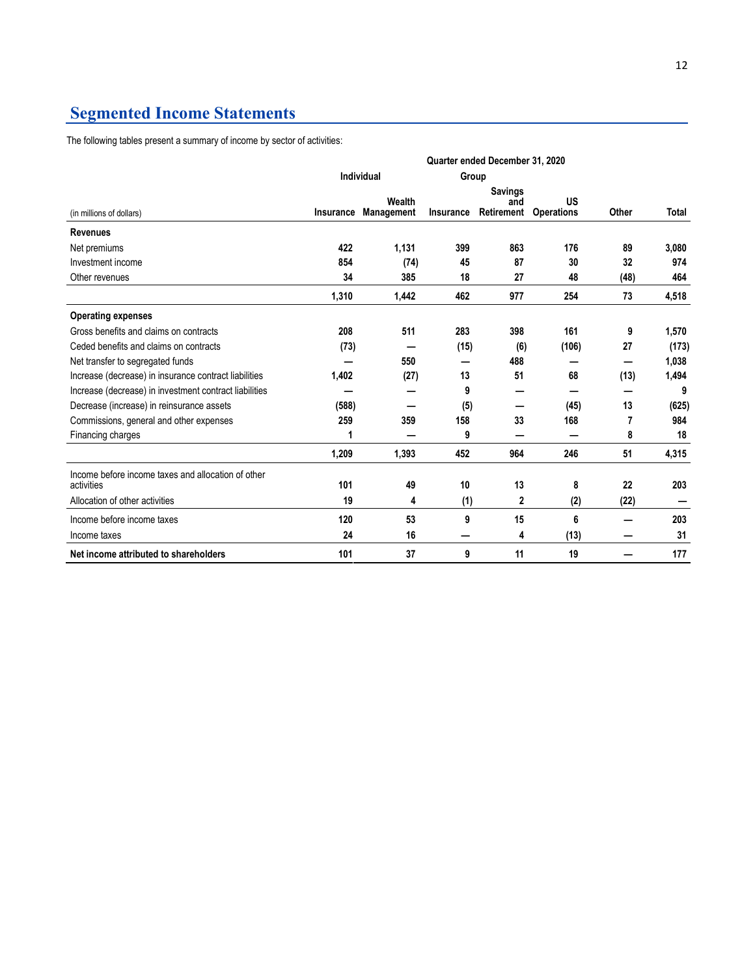## **Segmented Income Statements**

The following tables present a summary of income by sector of activities:

|                                                                  | Quarter ended December 31, 2020 |                      |           |                                     |                         |       |       |
|------------------------------------------------------------------|---------------------------------|----------------------|-----------|-------------------------------------|-------------------------|-------|-------|
|                                                                  |                                 | Individual           |           | Group                               |                         |       |       |
| (in millions of dollars)                                         | <b>Insurance</b>                | Wealth<br>Management | Insurance | <b>Savings</b><br>and<br>Retirement | US<br><b>Operations</b> | Other | Total |
| <b>Revenues</b>                                                  |                                 |                      |           |                                     |                         |       |       |
| Net premiums                                                     | 422                             | 1,131                | 399       | 863                                 | 176                     | 89    | 3,080 |
| Investment income                                                | 854                             | (74)                 | 45        | 87                                  | 30                      | 32    | 974   |
| Other revenues                                                   | 34                              | 385                  | 18        | 27                                  | 48                      | (48)  | 464   |
|                                                                  | 1,310                           | 1,442                | 462       | 977                                 | 254                     | 73    | 4,518 |
| <b>Operating expenses</b>                                        |                                 |                      |           |                                     |                         |       |       |
| Gross benefits and claims on contracts                           | 208                             | 511                  | 283       | 398                                 | 161                     | 9     | 1,570 |
| Ceded benefits and claims on contracts                           | (73)                            |                      | (15)      | (6)                                 | (106)                   | 27    | (173) |
| Net transfer to segregated funds                                 |                                 | 550                  |           | 488                                 |                         |       | 1,038 |
| Increase (decrease) in insurance contract liabilities            | 1,402                           | (27)                 | 13        | 51                                  | 68                      | (13)  | 1,494 |
| Increase (decrease) in investment contract liabilities           |                                 |                      | 9         |                                     |                         |       | 9     |
| Decrease (increase) in reinsurance assets                        | (588)                           |                      | (5)       |                                     | (45)                    | 13    | (625) |
| Commissions, general and other expenses                          | 259                             | 359                  | 158       | 33                                  | 168                     | 7     | 984   |
| Financing charges                                                |                                 |                      | 9         | --                                  |                         | 8     | 18    |
|                                                                  | 1,209                           | 1,393                | 452       | 964                                 | 246                     | 51    | 4,315 |
| Income before income taxes and allocation of other<br>activities | 101                             | 49                   | 10        | 13                                  | 8                       | 22    | 203   |
| Allocation of other activities                                   | 19                              | 4                    | (1)       | $\mathbf{2}$                        | (2)                     | (22)  |       |
| Income before income taxes                                       | 120                             | 53                   | 9         | 15                                  | 6                       |       | 203   |
| Income taxes                                                     | 24                              | 16                   |           | 4                                   | (13)                    |       | 31    |
| Net income attributed to shareholders                            | 101                             | 37                   | 9         | 11                                  | 19                      |       | 177   |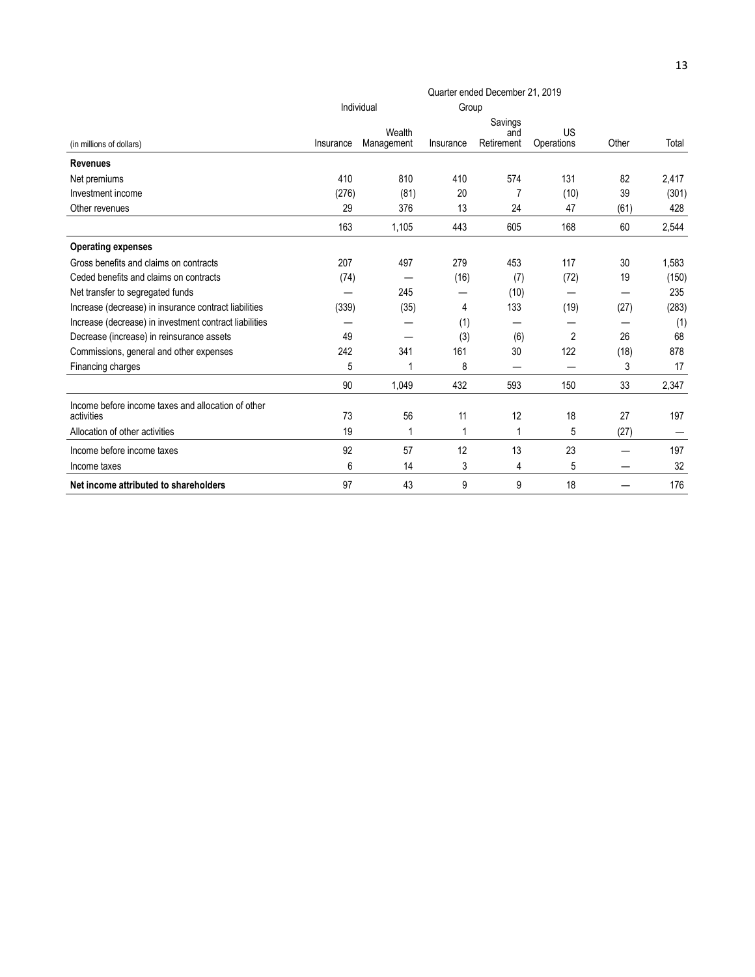|                                                                  | Quarter ended December 21, 2019 |                      |           |                              |                  |       |       |
|------------------------------------------------------------------|---------------------------------|----------------------|-----------|------------------------------|------------------|-------|-------|
|                                                                  |                                 | Individual           | Group     |                              |                  |       |       |
| (in millions of dollars)                                         | Insurance                       | Wealth<br>Management | Insurance | Savings<br>and<br>Retirement | US<br>Operations | Other | Total |
| <b>Revenues</b>                                                  |                                 |                      |           |                              |                  |       |       |
| Net premiums                                                     | 410                             | 810                  | 410       | 574                          | 131              | 82    | 2,417 |
| Investment income                                                | (276)                           | (81)                 | 20        | 7                            | (10)             | 39    | (301) |
| Other revenues                                                   | 29                              | 376                  | 13        | 24                           | 47               | (61)  | 428   |
|                                                                  | 163                             | 1.105                | 443       | 605                          | 168              | 60    | 2,544 |
| <b>Operating expenses</b>                                        |                                 |                      |           |                              |                  |       |       |
| Gross benefits and claims on contracts                           | 207                             | 497                  | 279       | 453                          | 117              | 30    | 1,583 |
| Ceded benefits and claims on contracts                           | (74)                            |                      | (16)      | (7)                          | (72)             | 19    | (150) |
| Net transfer to segregated funds                                 |                                 | 245                  |           | (10)                         |                  | —     | 235   |
| Increase (decrease) in insurance contract liabilities            | (339)                           | (35)                 | 4         | 133                          | (19)             | (27)  | (283) |
| Increase (decrease) in investment contract liabilities           |                                 |                      | (1)       |                              |                  |       | (1)   |
| Decrease (increase) in reinsurance assets                        | 49                              |                      | (3)       | (6)                          | 2                | 26    | 68    |
| Commissions, general and other expenses                          | 242                             | 341                  | 161       | 30                           | 122              | (18)  | 878   |
| Financing charges                                                | 5                               | 1                    | 8         |                              |                  | 3     | 17    |
|                                                                  | 90                              | 1.049                | 432       | 593                          | 150              | 33    | 2,347 |
| Income before income taxes and allocation of other<br>activities | 73                              | 56                   | 11        | 12                           | 18               | 27    | 197   |
| Allocation of other activities                                   | 19                              | 1                    | 1         | 1                            | 5                | (27)  |       |
| Income before income taxes                                       | 92                              | 57                   | 12        | 13                           | 23               |       | 197   |
| Income taxes                                                     | 6                               | 14                   | 3         | 4                            | 5                |       | 32    |
| Net income attributed to shareholders                            | 97                              | 43                   | 9         | 9                            | 18               |       | 176   |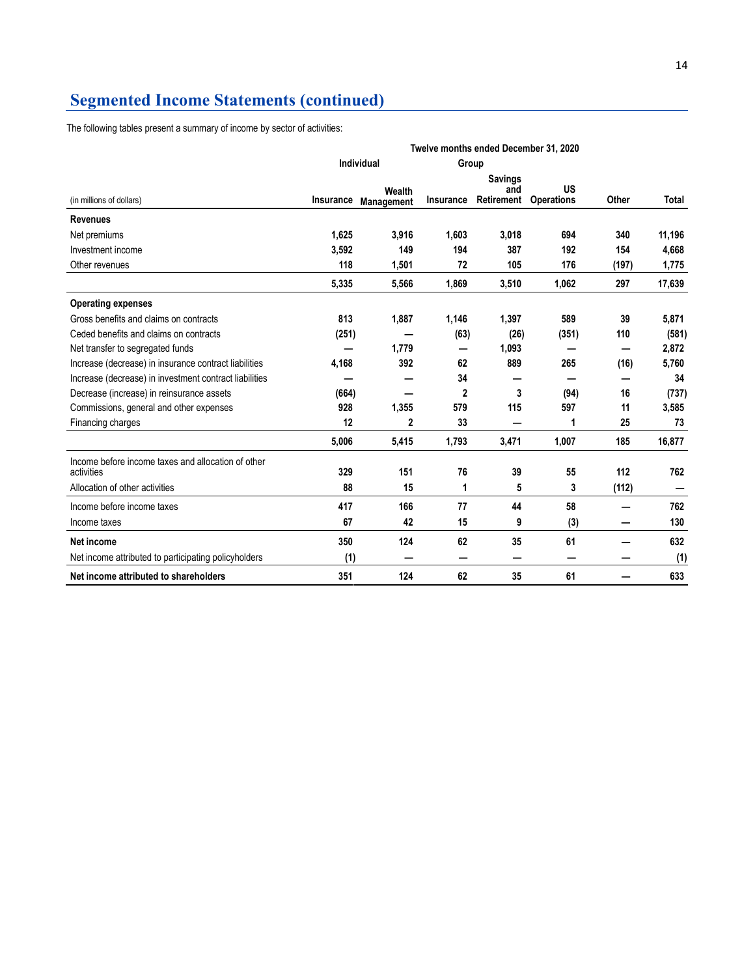### **Segmented Income Statements (continued)**

The following tables present a summary of income by sector of activities:

|                                                                  | Twelve months ended December 31, 2020 |                             |              |                                     |                         |       |        |
|------------------------------------------------------------------|---------------------------------------|-----------------------------|--------------|-------------------------------------|-------------------------|-------|--------|
|                                                                  | Individual<br>Group                   |                             |              |                                     |                         |       |        |
| (in millions of dollars)                                         | Insurance                             | Wealth<br><b>Management</b> | Insurance    | <b>Savings</b><br>and<br>Retirement | US<br><b>Operations</b> | Other | Total  |
| <b>Revenues</b>                                                  |                                       |                             |              |                                     |                         |       |        |
| Net premiums                                                     | 1.625                                 | 3,916                       | 1,603        | 3,018                               | 694                     | 340   | 11,196 |
| Investment income                                                | 3,592                                 | 149                         | 194          | 387                                 | 192                     | 154   | 4,668  |
| Other revenues                                                   | 118                                   | 1,501                       | 72           | 105                                 | 176                     | (197) | 1,775  |
|                                                                  | 5,335                                 | 5,566                       | 1,869        | 3,510                               | 1,062                   | 297   | 17,639 |
| <b>Operating expenses</b>                                        |                                       |                             |              |                                     |                         |       |        |
| Gross benefits and claims on contracts                           | 813                                   | 1,887                       | 1,146        | 1,397                               | 589                     | 39    | 5,871  |
| Ceded benefits and claims on contracts                           | (251)                                 |                             | (63)         | (26)                                | (351)                   | 110   | (581)  |
| Net transfer to segregated funds                                 |                                       | 1,779                       |              | 1,093                               |                         |       | 2,872  |
| Increase (decrease) in insurance contract liabilities            | 4,168                                 | 392                         | 62           | 889                                 | 265                     | (16)  | 5,760  |
| Increase (decrease) in investment contract liabilities           |                                       |                             | 34           |                                     |                         |       | 34     |
| Decrease (increase) in reinsurance assets                        | (664)                                 | —                           | $\mathbf{2}$ | 3                                   | (94)                    | 16    | (737)  |
| Commissions, general and other expenses                          | 928                                   | 1,355                       | 579          | 115                                 | 597                     | 11    | 3,585  |
| Financing charges                                                | 12                                    | $\mathbf{2}$                | 33           |                                     | 1                       | 25    | 73     |
|                                                                  | 5,006                                 | 5,415                       | 1,793        | 3,471                               | 1,007                   | 185   | 16,877 |
| Income before income taxes and allocation of other<br>activities | 329                                   | 151                         | 76           | 39                                  | 55                      | 112   | 762    |
| Allocation of other activities                                   | 88                                    | 15                          | 1            | 5                                   | 3                       | (112) |        |
| Income before income taxes                                       | 417                                   | 166                         | 77           | 44                                  | 58                      |       | 762    |
| Income taxes                                                     | 67                                    | 42                          | 15           | 9                                   | (3)                     | —     | 130    |
| Net income                                                       | 350                                   | 124                         | 62           | 35                                  | 61                      |       | 632    |
| Net income attributed to participating policyholders             | (1)                                   |                             |              |                                     |                         |       | (1)    |
| Net income attributed to shareholders                            | 351                                   | 124                         | 62           | 35                                  | 61                      |       | 633    |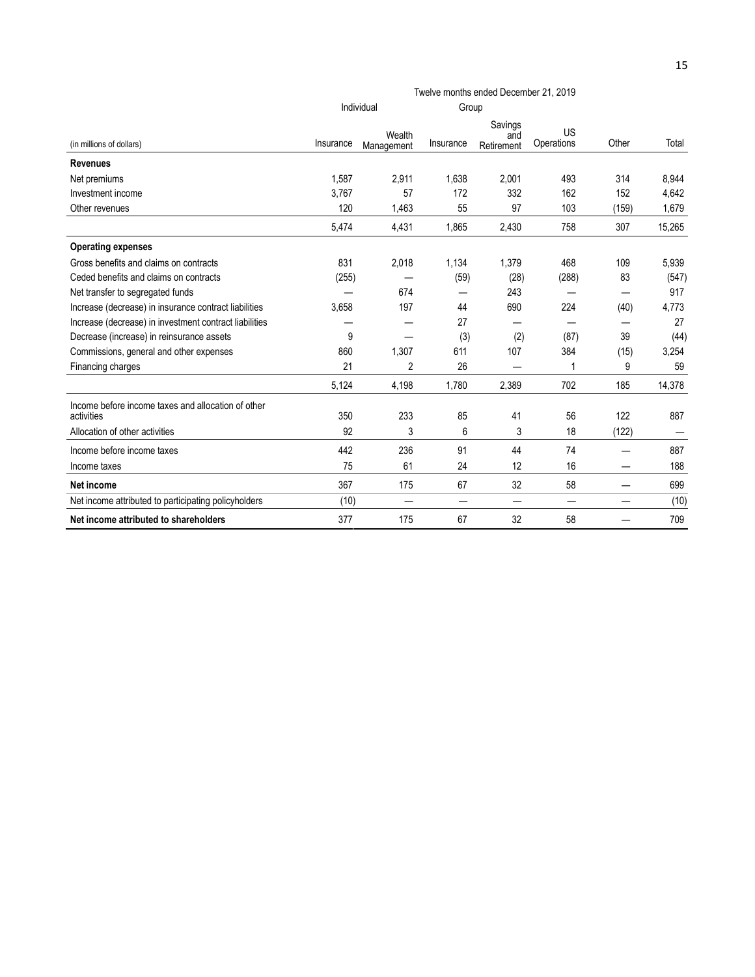|                                                                  | Twelve months ended December 21, 2019 |                      |           |                              |                  |       |        |
|------------------------------------------------------------------|---------------------------------------|----------------------|-----------|------------------------------|------------------|-------|--------|
|                                                                  |                                       | Individual           | Group     |                              |                  |       |        |
| (in millions of dollars)                                         | Insurance                             | Wealth<br>Management | Insurance | Savings<br>and<br>Retirement | US<br>Operations | Other | Total  |
| <b>Revenues</b>                                                  |                                       |                      |           |                              |                  |       |        |
| Net premiums                                                     | 1.587                                 | 2,911                | 1.638     | 2.001                        | 493              | 314   | 8,944  |
| Investment income                                                | 3,767                                 | 57                   | 172       | 332                          | 162              | 152   | 4,642  |
| Other revenues                                                   | 120                                   | 1,463                | 55        | 97                           | 103              | (159) | 1,679  |
|                                                                  | 5,474                                 | 4,431                | 1,865     | 2,430                        | 758              | 307   | 15,265 |
| <b>Operating expenses</b>                                        |                                       |                      |           |                              |                  |       |        |
| Gross benefits and claims on contracts                           | 831                                   | 2,018                | 1,134     | 1,379                        | 468              | 109   | 5,939  |
| Ceded benefits and claims on contracts                           | (255)                                 |                      | (59)      | (28)                         | (288)            | 83    | (547)  |
| Net transfer to segregated funds                                 |                                       | 674                  |           | 243                          |                  | —     | 917    |
| Increase (decrease) in insurance contract liabilities            | 3,658                                 | 197                  | 44        | 690                          | 224              | (40)  | 4,773  |
| Increase (decrease) in investment contract liabilities           |                                       |                      | 27        | -                            |                  |       | 27     |
| Decrease (increase) in reinsurance assets                        | 9                                     |                      | (3)       | (2)                          | (87)             | 39    | (44)   |
| Commissions, general and other expenses                          | 860                                   | 1,307                | 611       | 107                          | 384              | (15)  | 3,254  |
| Financing charges                                                | 21                                    | $\overline{2}$       | 26        |                              |                  | 9     | 59     |
|                                                                  | 5,124                                 | 4,198                | 1,780     | 2,389                        | 702              | 185   | 14,378 |
| Income before income taxes and allocation of other<br>activities | 350                                   | 233                  | 85        | 41                           | 56               | 122   | 887    |
| Allocation of other activities                                   | 92                                    | 3                    | 6         | 3                            | 18               | (122) |        |
| Income before income taxes                                       | 442                                   | 236                  | 91        | 44                           | 74               | —     | 887    |
| Income taxes                                                     | 75                                    | 61                   | 24        | 12                           | 16               |       | 188    |
| Net income                                                       | 367                                   | 175                  | 67        | 32                           | 58               |       | 699    |
| Net income attributed to participating policyholders             | (10)                                  |                      |           |                              |                  |       | (10)   |
| Net income attributed to shareholders                            | 377                                   | 175                  | 67        | 32                           | 58               |       | 709    |